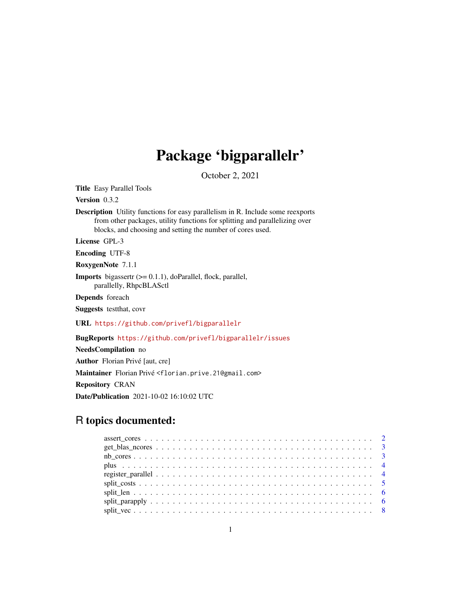# Package 'bigparallelr'

October 2, 2021

<span id="page-0-0"></span>Title Easy Parallel Tools

Version 0.3.2

Description Utility functions for easy parallelism in R. Include some reexports from other packages, utility functions for splitting and parallelizing over blocks, and choosing and setting the number of cores used.

License GPL-3

Encoding UTF-8

RoxygenNote 7.1.1

Imports bigassertr (>= 0.1.1), doParallel, flock, parallel, parallelly, RhpcBLASctl

Depends foreach

Suggests testthat, covr

URL <https://github.com/privefl/bigparallelr>

BugReports <https://github.com/privefl/bigparallelr/issues>

NeedsCompilation no Author Florian Privé [aut, cre] Maintainer Florian Privé <florian.prive.21@gmail.com> Repository CRAN Date/Publication 2021-10-02 16:10:02 UTC

## R topics documented: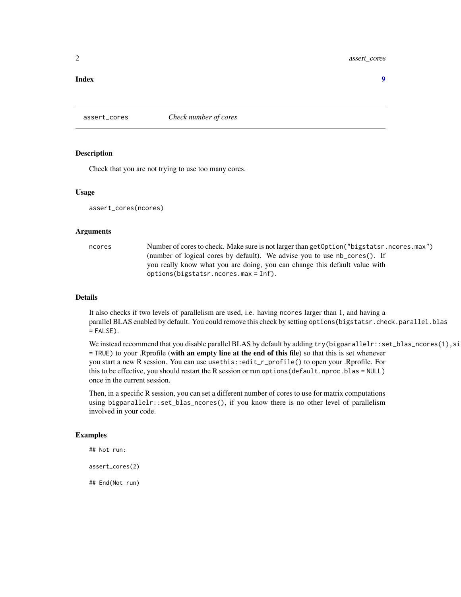### <span id="page-1-0"></span>2 assert\_cores

### **Index** [9](#page-8-0)

assert\_cores *Check number of cores*

### **Description**

Check that you are not trying to use too many cores.

### Usage

assert\_cores(ncores)

### Arguments

ncores Number of cores to check. Make sure is not larger than getOption("bigstatsr.ncores.max") (number of logical cores by default). We advise you to use nb\_cores(). If you really know what you are doing, you can change this default value with options(bigstatsr.ncores.max = Inf).

### Details

It also checks if two levels of parallelism are used, i.e. having ncores larger than 1, and having a parallel BLAS enabled by default. You could remove this check by setting options (bigstatsr.check.parallel.blas  $=$  FALSE $)$ .

We instead recommend that you disable parallel BLAS by default by adding  $try(bigrapharallelr::set_blas_ncores(1),si)$ = TRUE) to your .Rprofile (with an empty line at the end of this file) so that this is set whenever you start a new R session. You can use usethis::edit\_r\_profile() to open your .Rprofile. For this to be effective, you should restart the R session or run options (default.nproc.blas = NULL) once in the current session.

Then, in a specific R session, you can set a different number of cores to use for matrix computations using bigparallelr::set\_blas\_ncores(), if you know there is no other level of parallelism involved in your code.

### Examples

## Not run:

assert\_cores(2)

## End(Not run)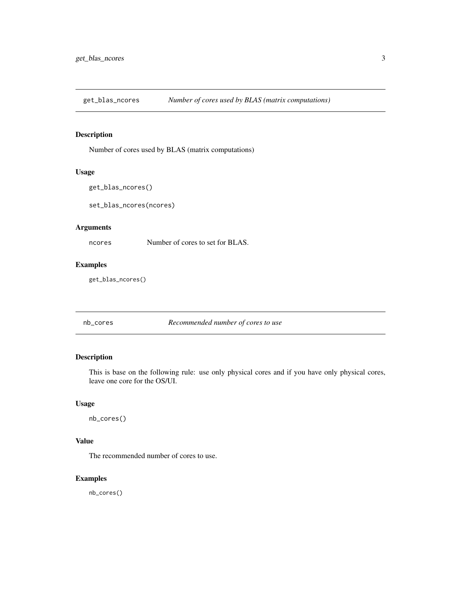<span id="page-2-0"></span>get\_blas\_ncores *Number of cores used by BLAS (matrix computations)*

### Description

Number of cores used by BLAS (matrix computations)

### Usage

```
get_blas_ncores()
```
set\_blas\_ncores(ncores)

### Arguments

ncores Number of cores to set for BLAS.

### Examples

get\_blas\_ncores()

nb\_cores *Recommended number of cores to use*

### Description

This is base on the following rule: use only physical cores and if you have only physical cores, leave one core for the OS/UI.

### Usage

nb\_cores()

### Value

The recommended number of cores to use.

### Examples

nb\_cores()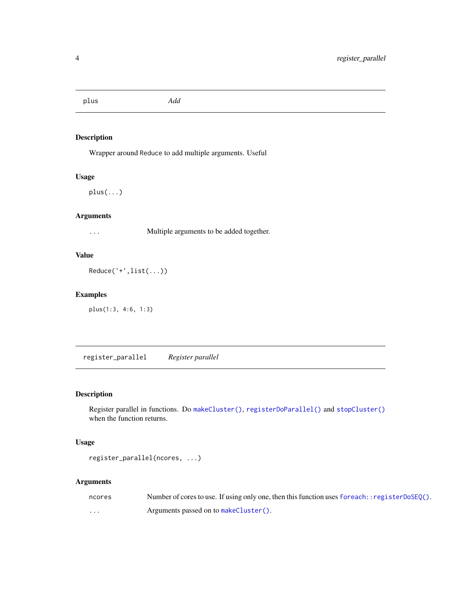<span id="page-3-0"></span>plus *Add*

### Description

Wrapper around Reduce to add multiple arguments. Useful

### Usage

plus(...)

### Arguments

... Multiple arguments to be added together.

### Value

Reduce('+',list(...))

### Examples

plus(1:3, 4:6, 1:3)

register\_parallel *Register parallel*

### Description

Register parallel in functions. Do [makeCluster\(\)](#page-0-0), [registerDoParallel\(\)](#page-0-0) and [stopCluster\(\)](#page-0-0) when the function returns.

### Usage

```
register_parallel(ncores, ...)
```
### Arguments

| ncores   | Number of cores to use. If using only one, then this function uses for each: : register $DoseQ()$ . |
|----------|-----------------------------------------------------------------------------------------------------|
| $\cdots$ | Arguments passed on to makeCluster().                                                               |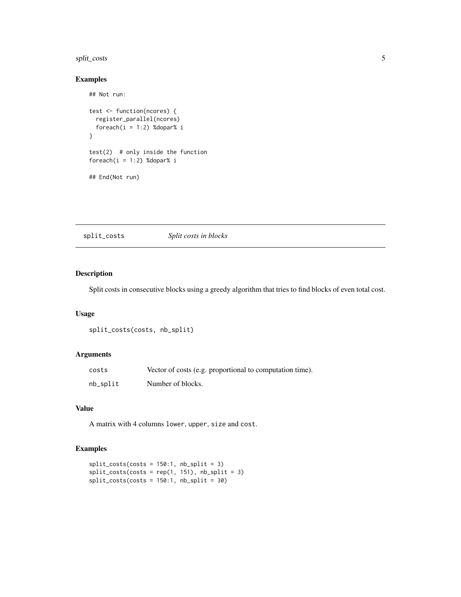### <span id="page-4-0"></span>split\_costs 5

### Examples

```
## Not run:
test <- function(ncores) {
  register_parallel(ncores)
  foreach(i = 1:2) %dopar% i
}
test(2) # only inside the function
foreach(i = 1:2) %dopar% i
## End(Not run)
```
split\_costs *Split costs in blocks*

### Description

Split costs in consecutive blocks using a greedy algorithm that tries to find blocks of even total cost.

### Usage

```
split_costs(costs, nb_split)
```
### Arguments

| costs    | Vector of costs (e.g. proportional to computation time). |
|----------|----------------------------------------------------------|
| nb_split | Number of blocks.                                        |

### Value

A matrix with 4 columns lower, upper, size and cost.

### Examples

```
split\_costs(costs = 150:1, nb_split = 3)split\_costs(costs = rep(1, 151), nb_split = 3)split_costs(costs = 150:1, nb_split = 30)
```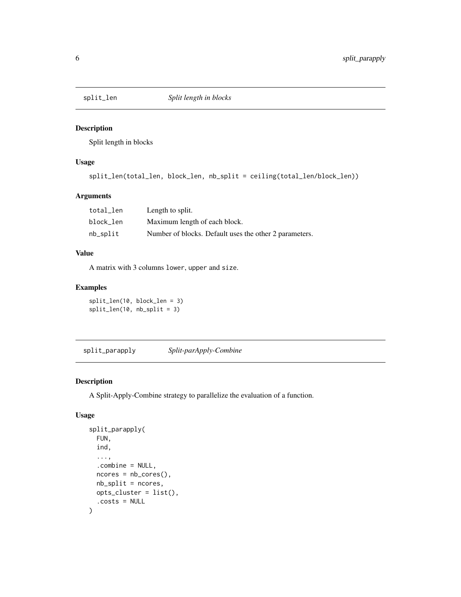<span id="page-5-0"></span>

### Description

Split length in blocks

### Usage

```
split_len(total_len, block_len, nb_split = ceiling(total_len/block_len))
```
### Arguments

| total len | Length to split.                                       |
|-----------|--------------------------------------------------------|
| block len | Maximum length of each block.                          |
| nb_split  | Number of blocks. Default uses the other 2 parameters. |

### Value

A matrix with 3 columns lower, upper and size.

### Examples

split\_len(10, block\_len = 3) split\_len(10, nb\_split = 3)

split\_parapply *Split-parApply-Combine*

### Description

A Split-Apply-Combine strategy to parallelize the evaluation of a function.

### Usage

```
split_parapply(
 FUN,
  ind,
  ...,
  .combine = NULL,
 ncores = nb_cores(),
 nb_split = ncores,
 opts_cluster = list(),
  .costs = NULL
\mathcal{E}
```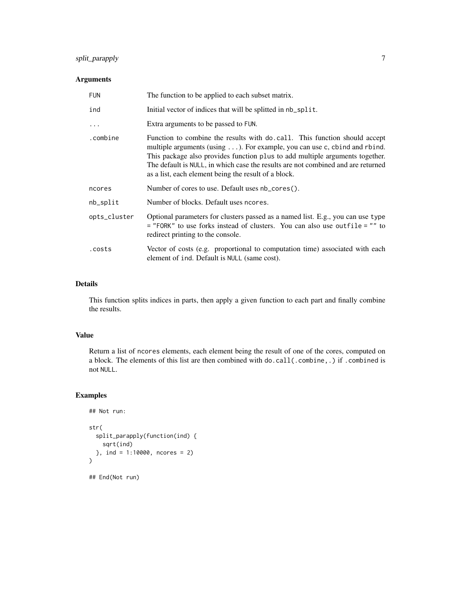### split\_parapply 7

### Arguments

| <b>FUN</b>   | The function to be applied to each subset matrix.                                                                                                                                                                                                                                                                                                                                   |
|--------------|-------------------------------------------------------------------------------------------------------------------------------------------------------------------------------------------------------------------------------------------------------------------------------------------------------------------------------------------------------------------------------------|
| ind          | Initial vector of indices that will be splitted in nb_split.                                                                                                                                                                                                                                                                                                                        |
| $\ddotsc$    | Extra arguments to be passed to FUN.                                                                                                                                                                                                                                                                                                                                                |
| .combine     | Function to combine the results with do. call. This function should accept<br>multiple arguments (using ). For example, you can use c, cbind and rbind.<br>This package also provides function plus to add multiple arguments together.<br>The default is NULL, in which case the results are not combined and are returned<br>as a list, each element being the result of a block. |
| ncores       | Number of cores to use. Default uses nb_cores().                                                                                                                                                                                                                                                                                                                                    |
| nb_split     | Number of blocks. Default uses neores.                                                                                                                                                                                                                                                                                                                                              |
| opts_cluster | Optional parameters for clusters passed as a named list. E.g., you can use type<br>$=$ "FORK" to use forks instead of clusters. You can also use outfile $=$ "" to<br>redirect printing to the console.                                                                                                                                                                             |
| .costs       | Vector of costs (e.g. proportional to computation time) associated with each<br>element of ind. Default is NULL (same cost).                                                                                                                                                                                                                                                        |

### Details

This function splits indices in parts, then apply a given function to each part and finally combine the results.

### Value

Return a list of ncores elements, each element being the result of one of the cores, computed on a block. The elements of this list are then combined with do.call(.combine,.) if .combined is not NULL.

### Examples

```
## Not run:
str(
  split_parapply(function(ind) {
   sqrt(ind)
  }, ind = 1:10000, ncores = 2)
)
## End(Not run)
```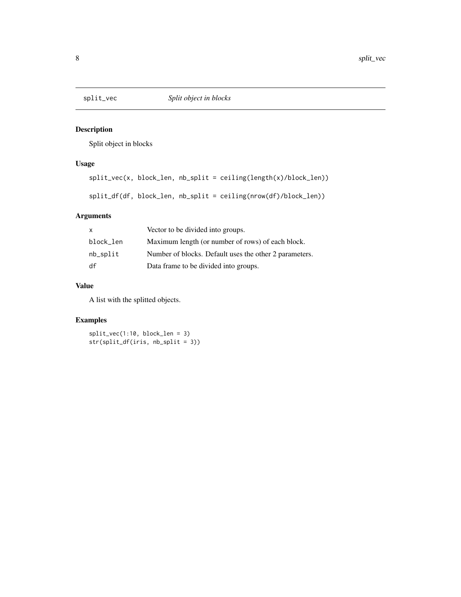<span id="page-7-0"></span>

### Description

Split object in blocks

### Usage

split\_vec(x, block\_len, nb\_split = ceiling(length(x)/block\_len)) split\_df(df, block\_len, nb\_split = ceiling(nrow(df)/block\_len))

### Arguments

| $\mathsf{X}$ | Vector to be divided into groups.                      |
|--------------|--------------------------------------------------------|
| block_len    | Maximum length (or number of rows) of each block.      |
| nb_split     | Number of blocks. Default uses the other 2 parameters. |
| df           | Data frame to be divided into groups.                  |

### Value

A list with the splitted objects.

### Examples

split\_vec(1:10, block\_len = 3) str(split\_df(iris, nb\_split = 3))